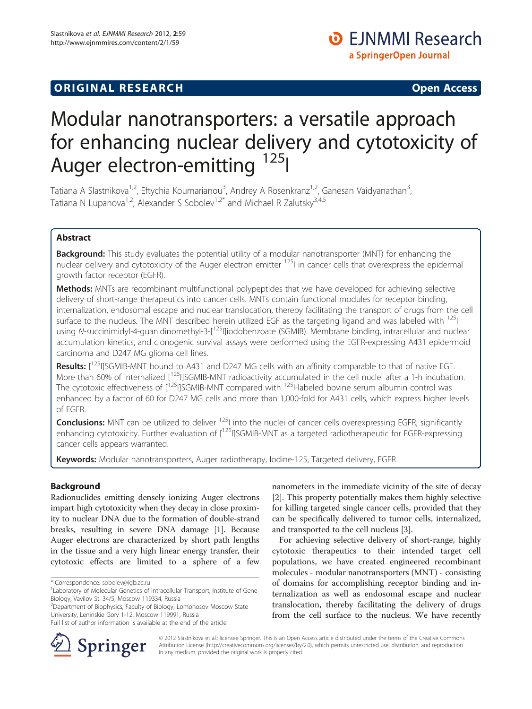# **ORIGINAL RESEARCH CONSUMING ACCESS**

# Modular nanotransporters: a versatile approach for enhancing nuclear delivery and cytotoxicity of Auger electron-emitting <sup>125</sup>I

Tatiana A Slastnikova<sup>1,2</sup>, Eftychia Koumarianou<sup>3</sup>, Andrey A Rosenkranz<sup>1,2</sup>, Ganesan Vaidyanathan<sup>3</sup> , Tatiana N Lupanova<sup>1,2</sup>, Alexander S Sobolev<sup>1,2\*</sup> and Michael R Zalutsky<sup>3,4,5</sup>

## Abstract

Background: This study evaluates the potential utility of a modular nanotransporter (MNT) for enhancing the nuclear delivery and cytotoxicity of the Auger electron emitter <sup>125</sup>I in cancer cells that overexpress the epidermal growth factor receptor (EGFR).

Methods: MNTs are recombinant multifunctional polypeptides that we have developed for achieving selective delivery of short-range therapeutics into cancer cells. MNTs contain functional modules for receptor binding, internalization, endosomal escape and nuclear translocation, thereby facilitating the transport of drugs from the cell surface to the nucleus. The MNT described herein utilized EGF as the targeting ligand and was labeled with <sup>125</sup>I using N-succinimidyl-4-guanidinomethyl-3-[<sup>125</sup>I]iodobenzoate (SGMIB). Membrane binding, intracellular and nuclear accumulation kinetics, and clonogenic survival assays were performed using the EGFR-expressing A431 epidermoid carcinoma and D247 MG glioma cell lines.

Results: [<sup>125</sup>I]SGMIB-MNT bound to A431 and D247 MG cells with an affinity comparable to that of native EGF. More than 60% of internalized [<sup>125</sup>I]SGMIB-MNT radioactivity accumulated in the cell nuclei after a 1-h incubation. The cytotoxic effectiveness of [<sup>125</sup>I]SGMIB-MNT compared with <sup>125</sup>I-labeled bovine serum albumin control was enhanced by a factor of 60 for D247 MG cells and more than 1,000-fold for A431 cells, which express higher levels of EGFR.

Conclusions: MNT can be utilized to deliver <sup>125</sup>I into the nuclei of cancer cells overexpressing EGFR, significantly enhancing cytotoxicity. Further evaluation of [<sup>125</sup>I]SGMIB-MNT as a targeted radiotherapeutic for EGFR-expressing cancer cells appears warranted.

Keywords: Modular nanotransporters, Auger radiotherapy, Iodine-125, Targeted delivery, EGFR

## Background

Radionuclides emitting densely ionizing Auger electrons impart high cytotoxicity when they decay in close proximity to nuclear DNA due to the formation of double-strand breaks, resulting in severe DNA damage [[1](#page-9-0)]. Because Auger electrons are characterized by short path lengths in the tissue and a very high linear energy transfer, their cytotoxic effects are limited to a sphere of a few

<sup>2</sup>Department of Biophysics, Faculty of Biology, Lomonosov Moscow State University, Leninskie Gory 1-12, Moscow 119991, Russia



For achieving selective delivery of short-range, highly cytotoxic therapeutics to their intended target cell populations, we have created engineered recombinant molecules - modular nanotransporters (MNT) - consisting of domains for accomplishing receptor binding and internalization as well as endosomal escape and nuclear translocation, thereby facilitating the delivery of drugs from the cell surface to the nucleus. We have recently



© 2012 Slastnikova et al.; licensee Springer. This is an Open Access article distributed under the terms of the Creative Commons Attribution License [\(http://creativecommons.org/licenses/by/2.0\)](http://creativecommons.org/licenses/by/2.0), which permits unrestricted use, distribution, and reproduction in any medium, provided the original work is properly cited.

<sup>\*</sup> Correspondence: [sobolev@igb.ac.ru](mailto:sobolev@igb.ac.ru) <sup>1</sup>

<sup>&</sup>lt;sup>1</sup> Laboratory of Molecular Genetics of Intracellular Transport, Institute of Gene Biology, Vavilov St. 34/5, Moscow 119334, Russia

Full list of author information is available at the end of the article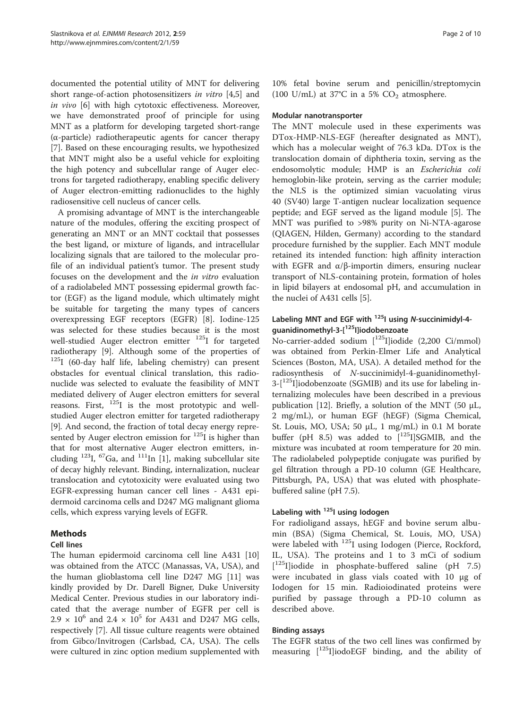documented the potential utility of MNT for delivering short range-of-action photosensitizers in vitro [\[4,5](#page-9-0)] and in vivo [\[6\]](#page-9-0) with high cytotoxic effectiveness. Moreover, we have demonstrated proof of principle for using MNT as a platform for developing targeted short-range (α-particle) radiotherapeutic agents for cancer therapy [[7\]](#page-9-0). Based on these encouraging results, we hypothesized that MNT might also be a useful vehicle for exploiting the high potency and subcellular range of Auger electrons for targeted radiotherapy, enabling specific delivery of Auger electron-emitting radionuclides to the highly radiosensitive cell nucleus of cancer cells.

A promising advantage of MNT is the interchangeable nature of the modules, offering the exciting prospect of generating an MNT or an MNT cocktail that possesses the best ligand, or mixture of ligands, and intracellular localizing signals that are tailored to the molecular profile of an individual patient's tumor. The present study focuses on the development and the in vitro evaluation of a radiolabeled MNT possessing epidermal growth factor (EGF) as the ligand module, which ultimately might be suitable for targeting the many types of cancers overexpressing EGF receptors (EGFR) [\[8\]](#page-9-0). Iodine-125 was selected for these studies because it is the most well-studied Auger electron emitter <sup>125</sup>I for targeted radiotherapy [[9\]](#page-9-0). Although some of the properties of 125I (60-day half life, labeling chemistry) can present obstacles for eventual clinical translation, this radionuclide was selected to evaluate the feasibility of MNT mediated delivery of Auger electron emitters for several reasons. First,  $^{125}$ I is the most prototypic and wellstudied Auger electron emitter for targeted radiotherapy [[9\]](#page-9-0). And second, the fraction of total decay energy represented by Auger electron emission for  $125$ I is higher than that for most alternative Auger electron emitters, in-cluding <sup>123</sup>I, <sup>67</sup>Ga, and <sup>111</sup>In [\[1\]](#page-9-0), making subcellular site of decay highly relevant. Binding, internalization, nuclear translocation and cytotoxicity were evaluated using two EGFR-expressing human cancer cell lines - A431 epidermoid carcinoma cells and D247 MG malignant glioma cells, which express varying levels of EGFR.

## Methods

## Cell lines

The human epidermoid carcinoma cell line A431 [[10](#page-9-0)] was obtained from the ATCC (Manassas, VA, USA), and the human glioblastoma cell line D247 MG [\[11\]](#page-9-0) was kindly provided by Dr. Darell Bigner, Duke University Medical Center. Previous studies in our laboratory indicated that the average number of EGFR per cell is  $2.9 \times 10^6$  and  $2.4 \times 10^5$  for A431 and D247 MG cells, respectively [\[7](#page-9-0)]. All tissue culture reagents were obtained from Gibco/Invitrogen (Carlsbad, CA, USA). The cells were cultured in zinc option medium supplemented with 10% fetal bovine serum and penicillin/streptomycin (100 U/mL) at 37°C in a 5%  $CO<sub>2</sub>$  atmosphere.

## Modular nanotransporter

The MNT molecule used in these experiments was DTox-HMP-NLS-EGF (hereafter designated as MNT), which has a molecular weight of 76.3 kDa. DTox is the translocation domain of diphtheria toxin, serving as the endosomolytic module; HMP is an Escherichia coli hemoglobin-like protein, serving as the carrier module; the NLS is the optimized simian vacuolating virus 40 (SV40) large T-antigen nuclear localization sequence peptide; and EGF served as the ligand module [\[5](#page-9-0)]. The MNT was purified to >98% purity on Ni-NTA-agarose (QIAGEN, Hilden, Germany) according to the standard procedure furnished by the supplier. Each MNT module retained its intended function: high affinity interaction with EGFR and  $\alpha/\beta$ -importin dimers, ensuring nuclear transport of NLS-containing protein, formation of holes in lipid bilayers at endosomal pH, and accumulation in the nuclei of A431 cells [[5\]](#page-9-0).

## Labeling MNT and EGF with  $^{125}$ I using N-succinimidyl-4guanidinomethyl-3-[125I]iodobenzoate

No-carrier-added sodium [<sup>125</sup>I]iodide (2,200 Ci/mmol) was obtained from Perkin-Elmer Life and Analytical Sciences (Boston, MA, USA). A detailed method for the radiosynthesis of N-succinimidyl-4-guanidinomethyl- $3-[1^{25}I]$ iodobenzoate (SGMIB) and its use for labeling internalizing molecules have been described in a previous publication [\[12](#page-9-0)]. Briefly, a solution of the MNT (50  $\mu$ L, 2 mg/mL), or human EGF (hEGF) (Sigma Chemical, St. Louis, MO, USA; 50 μL, 1 mg/mL) in 0.1 M borate buffer (pH 8.5) was added to  $[125]$ SGMIB, and the mixture was incubated at room temperature for 20 min. The radiolabeled polypeptide conjugate was purified by gel filtration through a PD-10 column (GE Healthcare, Pittsburgh, PA, USA) that was eluted with phosphatebuffered saline (pH 7.5).

## Labeling with <sup>125</sup>I using Iodogen

For radioligand assays, hEGF and bovine serum albumin (BSA) (Sigma Chemical, St. Louis, MO, USA) were labeled with <sup>125</sup>I using Iodogen (Pierce, Rockford, IL, USA). The proteins and 1 to 3 mCi of sodium [ 125I]iodide in phosphate-buffered saline (pH 7.5) were incubated in glass vials coated with 10 μg of Iodogen for 15 min. Radioiodinated proteins were purified by passage through a PD-10 column as described above.

## Binding assays

The EGFR status of the two cell lines was confirmed by measuring  $[125]$ iodoEGF binding, and the ability of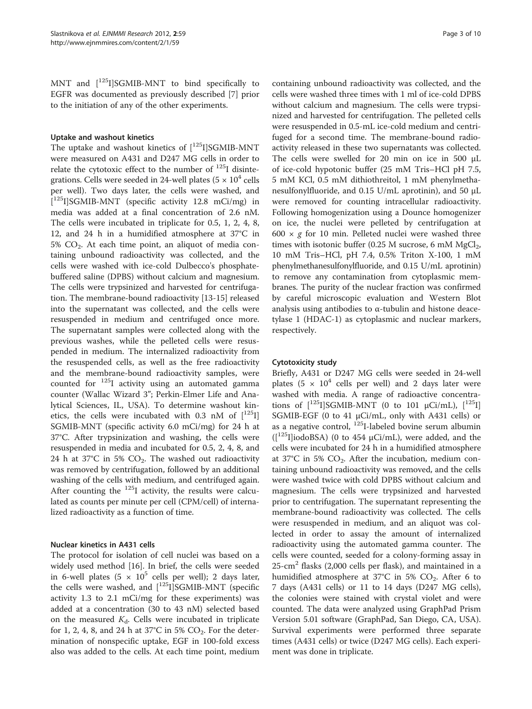MNT and  $\left[\right]^{125}$ I]SGMIB-MNT to bind specifically to EGFR was documented as previously described [[7\]](#page-9-0) prior to the initiation of any of the other experiments.

#### Uptake and washout kinetics

The uptake and washout kinetics of  $[125]$ SGMIB-MNT were measured on A431 and D247 MG cells in order to relate the cytotoxic effect to the number of  $^{125}I$  disintegrations. Cells were seeded in 24-well plates ( $5 \times 10^4$  cells per well). Two days later, the cells were washed, and [ 125I]SGMIB-MNT (specific activity 12.8 mCi/mg) in media was added at a final concentration of 2.6 nM. The cells were incubated in triplicate for 0.5, 1, 2, 4, 8, 12, and 24 h in a humidified atmosphere at 37°C in  $5\%$  CO<sub>2</sub>. At each time point, an aliquot of media containing unbound radioactivity was collected, and the cells were washed with ice-cold Dulbecco's phosphatebuffered saline (DPBS) without calcium and magnesium. The cells were trypsinized and harvested for centrifugation. The membrane-bound radioactivity [[13-15\]](#page-9-0) released into the supernatant was collected, and the cells were resuspended in medium and centrifuged once more. The supernatant samples were collected along with the previous washes, while the pelleted cells were resuspended in medium. The internalized radioactivity from the resuspended cells, as well as the free radioactivity and the membrane-bound radioactivity samples, were counted for  $125$ I activity using an automated gamma counter (Wallac Wizard 3"; Perkin-Elmer Life and Analytical Sciences, IL, USA). To determine washout kinetics, the cells were incubated with 0.3 nM of  $\left[1^{125}I\right]$ SGMIB-MNT (specific activity 6.0 mCi/mg) for 24 h at 37°C. After trypsinization and washing, the cells were resuspended in media and incubated for 0.5, 2, 4, 8, and 24 h at 37 $\degree$ C in 5% CO<sub>2</sub>. The washed out radioactivity was removed by centrifugation, followed by an additional washing of the cells with medium, and centrifuged again. After counting the  $^{125}$ I activity, the results were calculated as counts per minute per cell (CPM/cell) of internalized radioactivity as a function of time.

#### Nuclear kinetics in A431 cells

The protocol for isolation of cell nuclei was based on a widely used method [[16\]](#page-9-0). In brief, the cells were seeded in 6-well plates (5  $\times$  10<sup>5</sup> cells per well); 2 days later, the cells were washed, and  $[$ <sup>125</sup>I]SGMIB-MNT (specific activity 1.3 to 2.1 mCi/mg for these experiments) was added at a concentration (30 to 43 nM) selected based on the measured  $K_d$ . Cells were incubated in triplicate for 1, 2, 4, 8, and 24 h at 37°C in 5%  $CO<sub>2</sub>$ . For the determination of nonspecific uptake, EGF in 100-fold excess also was added to the cells. At each time point, medium containing unbound radioactivity was collected, and the cells were washed three times with 1 ml of ice-cold DPBS without calcium and magnesium. The cells were trypsinized and harvested for centrifugation. The pelleted cells were resuspended in 0.5-mL ice-cold medium and centrifuged for a second time. The membrane-bound radioactivity released in these two supernatants was collected. The cells were swelled for 20 min on ice in 500 μL of ice-cold hypotonic buffer (25 mM Tris–HCl pH 7.5, 5 mM KCl, 0.5 mM dithiothreitol, 1 mM phenylmethanesulfonylfluoride, and 0.15 U/mL aprotinin), and 50 μL were removed for counting intracellular radioactivity. Following homogenization using a Dounce homogenizer on ice, the nuclei were pelleted by centrifugation at 600  $\times$  g for 10 min. Pelleted nuclei were washed three times with isotonic buffer (0.25 M sucrose, 6 mM  $MgCl<sub>2</sub>$ , 10 mM Tris–HCl, pH 7.4, 0.5% Triton X-100, 1 mM phenylmethanesulfonylfluoride, and 0.15 U/mL aprotinin) to remove any contamination from cytoplasmic membranes. The purity of the nuclear fraction was confirmed by careful microscopic evaluation and Western Blot analysis using antibodies to α-tubulin and histone deacetylase 1 (HDAC-1) as cytoplasmic and nuclear markers, respectively.

#### Cytotoxicity study

Briefly, A431 or D247 MG cells were seeded in 24-well plates (5  $\times$  10<sup>4</sup> cells per well) and 2 days later were washed with media. A range of radioactive concentrations of  $[1^{25}I]$ SGMIB-MNT (0 to 101  $\mu$ Ci/mL),  $[1^{25}I]$ SGMIB-EGF (0 to 41 μCi/mL, only with A431 cells) or as a negative control,  $^{125}$ I-labeled bovine serum albumin  $([125] \mid \text{iodoBSA})$  (0 to 454  $\mu$ Ci/mL), were added, and the cells were incubated for 24 h in a humidified atmosphere at  $37^{\circ}$ C in 5% CO<sub>2</sub>. After the incubation, medium containing unbound radioactivity was removed, and the cells were washed twice with cold DPBS without calcium and magnesium. The cells were trypsinized and harvested prior to centrifugation. The supernatant representing the membrane-bound radioactivity was collected. The cells were resuspended in medium, and an aliquot was collected in order to assay the amount of internalized radioactivity using the automated gamma counter. The cells were counted, seeded for a colony-forming assay in  $25$ -cm<sup>2</sup> flasks (2,000 cells per flask), and maintained in a humidified atmosphere at  $37^{\circ}$ C in 5% CO<sub>2</sub>. After 6 to 7 days (A431 cells) or 11 to 14 days (D247 MG cells), the colonies were stained with crystal violet and were counted. The data were analyzed using GraphPad Prism Version 5.01 software (GraphPad, San Diego, CA, USA). Survival experiments were performed three separate times (A431 cells) or twice (D247 MG cells). Each experiment was done in triplicate.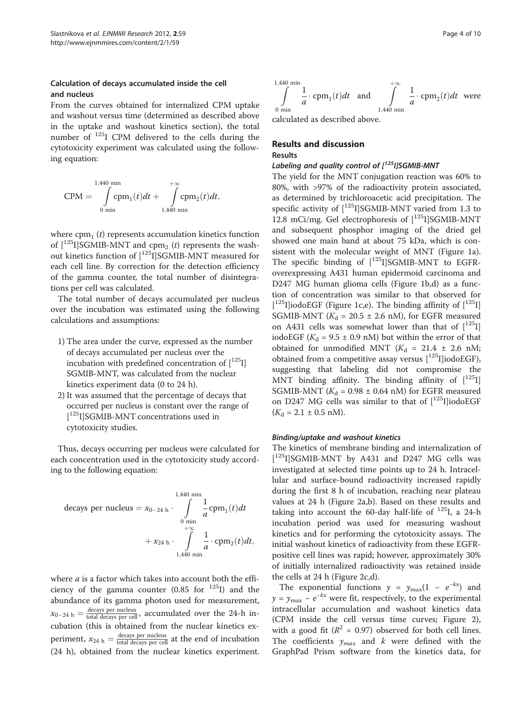## Calculation of decays accumulated inside the cell and nucleus

From the curves obtained for internalized CPM uptake and washout versus time (determined as described above in the uptake and washout kinetics section), the total number of 125I CPM delivered to the cells during the cytotoxicity experiment was calculated using the following equation:

CPM ¼ 1;440 min Z 0 min cpm1ð Þt dt þ þ1 Z 1;440 min cpm2ð Þt dt;

where  $cpm_1 (t)$  represents accumulation kinetics function of  $\lceil 1^{25}I \rceil$ SGMIB-MNT and cpm<sub>2</sub> (t) represents the washout kinetics function of  $[^{125}I]$ SGMIB-MNT measured for each cell line. By correction for the detection efficiency of the gamma counter, the total number of disintegrations per cell was calculated.

The total number of decays accumulated per nucleus over the incubation was estimated using the following calculations and assumptions:

- 1) The area under the curve, expressed as the number of decays accumulated per nucleus over the incubation with predefined concentration of  $\left[1^{125}I\right]$ SGMIB-MNT, was calculated from the nuclear kinetics experiment data (0 to 24 h).
- 2) It was assumed that the percentage of decays that occurred per nucleus is constant over the range of [<sup>125</sup>I]SGMIB-MNT concentrations used in cytotoxicity studies.

Thus, decays occurring per nucleus were calculated for each concentration used in the cytotoxicity study according to the following equation:

decays per nucleus 
$$
= x_{0-24 h} \cdot \int_{0 \text{ min}}^{1,440 \text{ min}} \frac{1}{a} \text{cpm}_1(t) dt
$$
  
+  $x_{24 h} \cdot \int_{1,440 \text{ min}}^{0 \text{ min}} \frac{1}{a} \cdot \text{cpm}_2(t) dt$ ,

where  $a$  is a factor which takes into account both the efficiency of the gamma counter  $(0.85$  for  $^{125}I)$  and the abundance of its gamma photon used for measurement,  $x_{0-24 \text{ h}} = \frac{\text{decays per nucleus}}{\text{total decays per cell}}$ , accumulated over the 24-h incubation (this is obtained from the nuclear kinetics experiment,  $x_{24 \text{ h}} = \frac{\text{decays per nucleus}}{\text{total decays per cell}}$  at the end of incubation (24 h), obtained from the nuclear kinetics experiment.

$$
\int_{0 \text{ min}}^{1,440 \text{ min}} \frac{1}{a} \cdot \text{cpm}_1(t) dt
$$
 and 
$$
\int_{1,440 \text{ min}}^{+\infty} \frac{1}{a} \cdot \text{cpm}_2(t) dt
$$
 were calculated as described above.

calculated as described above.

## Results and discussion

## Results

## Labeling and quality control of  $[125]$ SGMIB-MNT

The yield for the MNT conjugation reaction was 60% to 80%, with >97% of the radioactivity protein associated, as determined by trichloroacetic acid precipitation. The specific activity of  $\left[\right]^{125}$ I]SGMIB-MNT varied from 1.3 to 12.8 mCi/mg. Gel electrophoresis of  $\left[1^{25}I\right]$ SGMIB-MNT and subsequent phosphor imaging of the dried gel showed one main band at about 75 kDa, which is consistent with the molecular weight of MNT (Figure [1a](#page-4-0)). The specific binding of  $[125]$ SGMIB-MNT to EGFRoverexpressing A431 human epidermoid carcinoma and D247 MG human glioma cells (Figure [1b,d\)](#page-4-0) as a function of concentration was similar to that observed for  $[$ <sup>125</sup>I]iodoEGF (Figure [1c,e\)](#page-4-0). The binding affinity of  $[$ <sup>125</sup>I] SGMIB-MNT ( $K_d$  = 20.5  $\pm$  2.6 nM), for EGFR measured on A431 cells was somewhat lower than that of  $\lceil^{125} \text{I} \rceil$ iodoEGF ( $K_d$  = 9.5 ± 0.9 nM) but within the error of that obtained for unmodified MNT ( $K_d$  = 21.4  $\pm$  2.6 nM; obtained from a competitive assay versus  $[125]$ iodoEGF), suggesting that labeling did not compromise the MNT binding affinity. The binding affinity of  $\left[1^{125}I\right]$ SGMIB-MNT ( $K_d$  = 0.98 ± 0.64 nM) for EGFR measured on D247 MG cells was similar to that of  $\left[\right]^{125}$ I]iodoEGF  $(K_d = 2.1 \pm 0.5 \text{ nM}).$ 

#### Binding/uptake and washout kinetics

The kinetics of membrane binding and internalization of [<sup>125</sup>I]SGMIB-MNT by A431 and D247 MG cells was investigated at selected time points up to 24 h. Intracellular and surface-bound radioactivity increased rapidly during the first 8 h of incubation, reaching near plateau values at 24 h (Figure [2a,b](#page-5-0)). Based on these results and taking into account the 60-day half-life of  $^{125}$ I, a 24-h incubation period was used for measuring washout kinetics and for performing the cytotoxicity assays. The initial washout kinetics of radioactivity from these EGFRpositive cell lines was rapid; however, approximately 30% of initially internalized radioactivity was retained inside the cells at 24 h (Figure [2c,d\)](#page-5-0).

The exponential functions  $y = y_{\text{max}}(1 - e^{-kx})$  and  $y = y_{\text{max}} - e^{-kx}$  were fit, respectively, to the experimental intracellular accumulation and washout kinetics data (CPM inside the cell versus time curves; Figure [2](#page-5-0)), with a good fit ( $R^2 = 0.97$ ) observed for both cell lines. The coefficients  $y_{max}$  and k were defined with the GraphPad Prism software from the kinetics data, for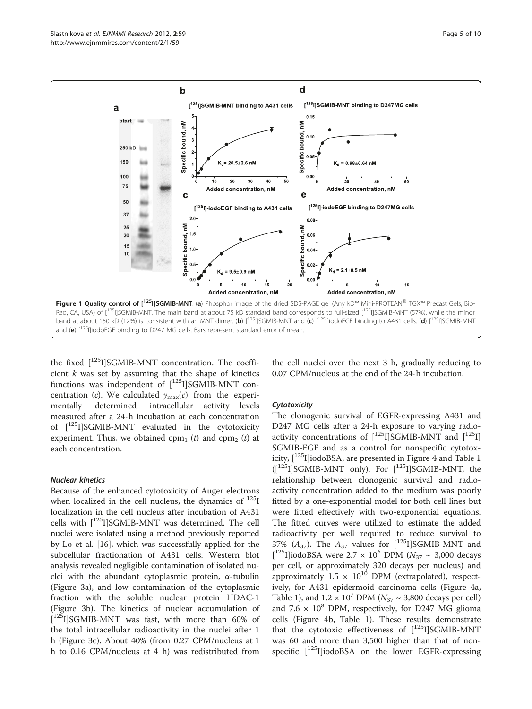<span id="page-4-0"></span>

the fixed  $[^{125}I]$ SGMIB-MNT concentration. The coefficient  $k$  was set by assuming that the shape of kinetics functions was independent of  $[$ <sup>125</sup>I]SGMIB-MNT concentration (c). We calculated  $y_{\text{max}}(c)$  from the experi-<br>mentally determined intracellular activity levels mentally determined intracellular activity levels measured after a 24-h incubation at each concentration of  $\left[1^{25}I\right]$ SGMIB-MNT evaluated in the cytotoxicity experiment. Thus, we obtained  $cpm_1$  (t) and  $cpm_2$  (t) at each concentration.

#### Nuclear kinetics

Because of the enhanced cytotoxicity of Auger electrons when localized in the cell nucleus, the dynamics of  $^{125}I$ localization in the cell nucleus after incubation of A431 cells with [125I]SGMIB-MNT was determined. The cell nuclei were isolated using a method previously reported by Lo et al. [[16](#page-9-0)], which was successfully applied for the subcellular fractionation of A431 cells. Western blot analysis revealed negligible contamination of isolated nuclei with the abundant cytoplasmic protein, α-tubulin (Figure [3a\)](#page-6-0), and low contamination of the cytoplasmic fraction with the soluble nuclear protein HDAC-1 (Figure [3b](#page-6-0)). The kinetics of nuclear accumulation of  $[$ <sup>125</sup>I]SGMIB-MNT was fast, with more than 60% of the total intracellular radioactivity in the nuclei after 1 h (Figure [3c](#page-6-0)). About 40% (from 0.27 CPM/nucleus at 1 h to 0.16 CPM/nucleus at 4 h) was redistributed from

the cell nuclei over the next 3 h, gradually reducing to 0.07 CPM/nucleus at the end of the 24-h incubation.

#### **Cytotoxicity**

The clonogenic survival of EGFR-expressing A431 and D247 MG cells after a 24-h exposure to varying radioactivity concentrations of  $[^{125}I]SGMIB-MNT$  and  $[^{125}I]$ SGMIB-EGF and as a control for nonspecific cytotoxicity,  $\lceil 125 \rceil$  $\lceil 125 \rceil$  $\lceil 125 \rceil$ ]iodoBSA, are presented in Figure [4](#page-6-0) and Table 1  $\left(\begin{array}{cc} [^{125}I] \text{SGMIB-MNT} \end{array}\right)$  only). For  $\left[\begin{array}{cc} [^{125}I] \text{SGMIB-MNT} \end{array}\right]$  the relationship between clonogenic survival and radioactivity concentration added to the medium was poorly fitted by a one-exponential model for both cell lines but were fitted effectively with two-exponential equations. The fitted curves were utilized to estimate the added radioactivity per well required to reduce survival to  $37\%$   $(A_{37})$ . The  $A_{37}$  values for  $[1^{25}I]$ SGMIB-MNT and [<sup>125</sup>I]iodoBSA were 2.7 × 10<sup>6</sup> DPM ( $N_{37}$  ~ 3,000 decays per cell, or approximately 320 decays per nucleus) and approximately  $1.5 \times 10^{10}$  DPM (extrapolated), respectively, for A431 epidermoid carcinoma cells (Figure [4a](#page-6-0), Table [1](#page-6-0)), and  $1.2 \times 10^7$  DPM ( $N_{37} \sim 3,800$  decays per cell) and 7.6  $\times$  10<sup>8</sup> DPM, respectively, for D247 MG glioma cells (Figure [4b](#page-6-0), Table [1\)](#page-6-0). These results demonstrate that the cytotoxic effectiveness of  $[$ <sup>125</sup>I]SGMIB-MNT was 60 and more than 3,500 higher than that of nonspecific  $[125]$ ]iodoBSA on the lower EGFR-expressing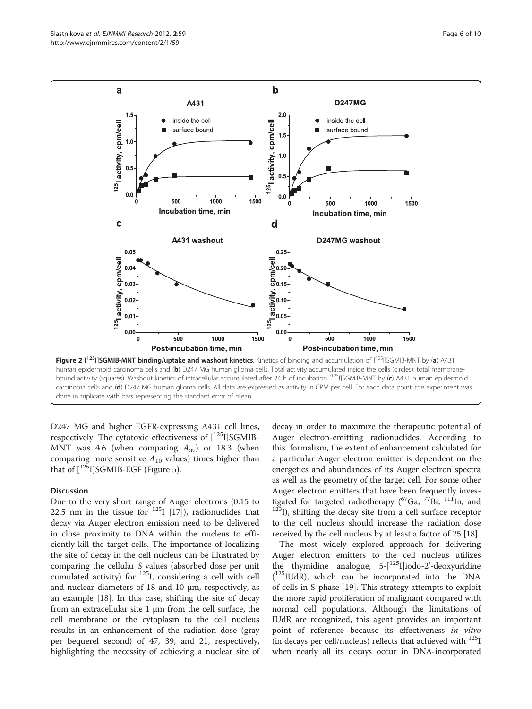<span id="page-5-0"></span>

D247 MG and higher EGFR-expressing A431 cell lines, respectively. The cytotoxic effectiveness of  $[$ <sup>125</sup>I]SGMIB-MNT was 4.6 (when comparing  $A_{37}$ ) or 18.3 (when comparing more sensitive  $A_{10}$  values) times higher than that of  $\lceil 1^{25} \rceil$  SGMIB-EGF (Figure [5\)](#page-7-0).

#### Discussion

Due to the very short range of Auger electrons (0.15 to 22.5 nm in the tissue for  $125$ <sup>I</sup> [\[17](#page-9-0)]), radionuclides that decay via Auger electron emission need to be delivered in close proximity to DNA within the nucleus to efficiently kill the target cells. The importance of localizing the site of decay in the cell nucleus can be illustrated by comparing the cellular S values (absorbed dose per unit cumulated activity) for 125I, considering a cell with cell and nuclear diameters of 18 and 10 μm, respectively, as an example [[18\]](#page-9-0). In this case, shifting the site of decay from an extracellular site 1  $\mu$ m from the cell surface, the cell membrane or the cytoplasm to the cell nucleus results in an enhancement of the radiation dose (gray per bequerel second) of 47, 39, and 21, respectively, highlighting the necessity of achieving a nuclear site of

decay in order to maximize the therapeutic potential of Auger electron-emitting radionuclides. According to this formalism, the extent of enhancement calculated for a particular Auger electron emitter is dependent on the energetics and abundances of its Auger electron spectra as well as the geometry of the target cell. For some other Auger electron emitters that have been frequently inves-<br>tigated for targeted radiotherapy  $(^{67}Ga, ^{77}Br, ^{111}In,$  and  $t^{123}$ I), shifting the decay site from a cell surface receptor to the cell nucleus should increase the radiation dose received by the cell nucleus by at least a factor of 25 [\[18\]](#page-9-0).

The most widely explored approach for delivering Auger electron emitters to the cell nucleus utilizes the thymidine analogue,  $5-[1251]$ iodo-2'-deoxyuridine ( 125IUdR), which can be incorporated into the DNA of cells in S-phase [\[19](#page-9-0)]. This strategy attempts to exploit the more rapid proliferation of malignant compared with normal cell populations. Although the limitations of IUdR are recognized, this agent provides an important point of reference because its effectiveness in vitro (in decays per cell/nucleus) reflects that achieved with  $^{125}I$ when nearly all its decays occur in DNA-incorporated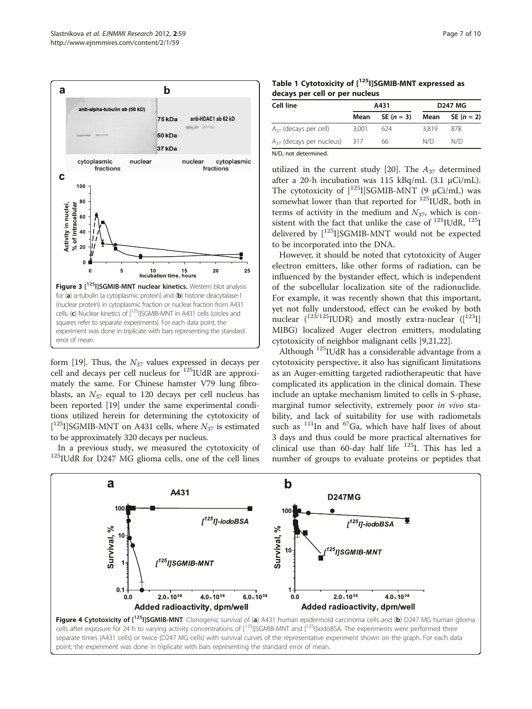<span id="page-6-0"></span>

form [\[19](#page-9-0)]. Thus, the  $N_{37}$  values expressed in decays per cell and decays per cell nucleus for 125IUdR are approximately the same. For Chinese hamster V79 lung fibroblasts, an  $N_{37}$  equal to 120 decays per cell nucleus has been reported [[19](#page-9-0)] under the same experimental conditions utilized herein for determining the cytotoxicity of [ $^{125}$ I]SGMIB-MNT on A431 cells, where  $N_{37}$  is estimated to be approximately 320 decays per nucleus.

In a previous study, we measured the cytotoxicity of 125IUdR for D247 MG glioma cells, one of the cell lines

|                                | Table 1 Cytotoxicity of [ <sup>125</sup> I]SGMIB-MNT expressed as |  |
|--------------------------------|-------------------------------------------------------------------|--|
| decays per cell or per nucleus |                                                                   |  |

| Cell line                         | A431  |              | <b>D247 MG</b> |                     |
|-----------------------------------|-------|--------------|----------------|---------------------|
|                                   | Mean  | SE $(n = 3)$ | Mean           | <b>SE</b> $(n = 2)$ |
| $A_{37}$ (decays per cell)        | 3.001 | 624          | 3.819          | 878                 |
| $A_{37}$ (decays per nucleus) 317 |       | 66           | N/D            | N/D                 |

N/D, not determined.

utilized in the current study [\[20](#page-9-0)]. The  $A_{37}$  determined after a 20-h incubation was 115 kBq/mL (3.1 μCi/mL). The cytotoxicity of  $\left[1^{25}I\right]$ SGMIB-MNT (9  $\mu$ Ci/mL) was somewhat lower than that reported for <sup>125</sup>IUdR, both in terms of activity in the medium and  $N_{37}$ , which is consistent with the fact that unlike the case of  $^{125}$ IUdR,  $^{125}$ I delivered by  $[125]$ SGMIB-MNT would not be expected to be incorporated into the DNA.

However, it should be noted that cytotoxicity of Auger electron emitters, like other forms of radiation, can be influenced by the bystander effect, which is independent of the subcellular localization site of the radionuclide. For example, it was recently shown that this important, yet not fully understood, effect can be evoked by both nuclear  $(1^{23/125}$ IUDR) and mostly extra-nuclear  $([1^{23}1]$ MIBG) localized Auger electron emitters, modulating cytotoxicity of neighbor malignant cells [[9,21](#page-9-0),[22](#page-9-0)].

Although 125IUdR has a considerable advantage from a cytotoxicity perspective, it also has significant limitations as an Auger-emitting targeted radiotherapeutic that have complicated its application in the clinical domain. These include an uptake mechanism limited to cells in S-phase, marginal tumor selectivity, extremely poor in vivo stability, and lack of suitability for use with radiometals such as  $111$ In and  $67$ Ga, which have half lives of about 3 days and thus could be more practical alternatives for clinical use than 60-day half life  $125$ I. This has led a number of groups to evaluate proteins or peptides that

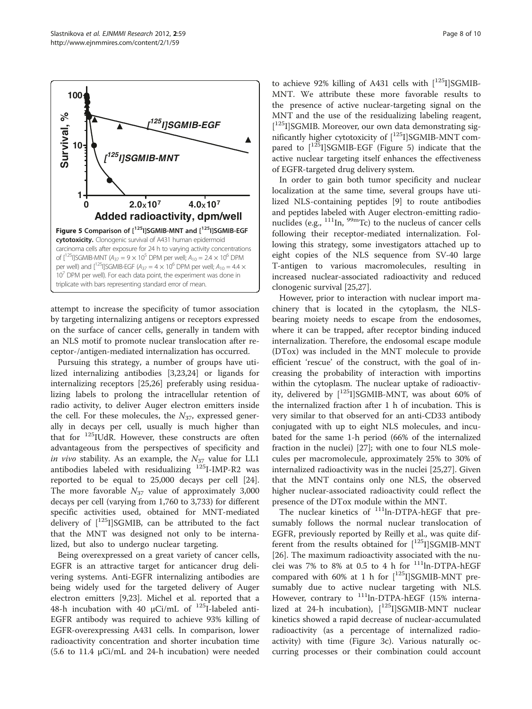<span id="page-7-0"></span>

attempt to increase the specificity of tumor association by targeting internalizing antigens or receptors expressed on the surface of cancer cells, generally in tandem with an NLS motif to promote nuclear translocation after receptor-/antigen-mediated internalization has occurred.

Pursuing this strategy, a number of groups have utilized internalizing antibodies [[3](#page-9-0),[23](#page-9-0),[24](#page-9-0)] or ligands for internalizing receptors [\[25,26](#page-9-0)] preferably using residualizing labels to prolong the intracellular retention of radio activity, to deliver Auger electron emitters inside the cell. For these molecules, the  $N_{37}$ , expressed generally in decays per cell, usually is much higher than that for 125IUdR. However, these constructs are often advantageous from the perspectives of specificity and in vivo stability. As an example, the  $N_{37}$  value for LL1 antibodies labeled with residualizing <sup>125</sup>I-IMP-R2 was reported to be equal to 25,000 decays per cell [\[24](#page-9-0)]. The more favorable  $N_{37}$  value of approximately 3,000 decays per cell (varying from 1,760 to 3,733) for different specific activities used, obtained for MNT-mediated delivery of  $[$ <sup>125</sup>I]SGMIB, can be attributed to the fact that the MNT was designed not only to be internalized, but also to undergo nuclear targeting.

Being overexpressed on a great variety of cancer cells, EGFR is an attractive target for anticancer drug delivering systems. Anti-EGFR internalizing antibodies are being widely used for the targeted delivery of Auger electron emitters [[9,23\]](#page-9-0). Michel et al. reported that a 48-h incubation with 40 μCi/mL of  $125$ I-labeled anti-EGFR antibody was required to achieve 93% killing of EGFR-overexpressing A431 cells. In comparison, lower radioactivity concentration and shorter incubation time (5.6 to 11.4 μCi/mL and 24-h incubation) were needed

to achieve 92% killing of A431 cells with  $\left[1^{25}I\right]SGMIB-$ MNT. We attribute these more favorable results to the presence of active nuclear-targeting signal on the MNT and the use of the residualizing labeling reagent, [<sup>125</sup>I]SGMIB. Moreover, our own data demonstrating significantly higher cytotoxicity of  $[^{125}I]$ SGMIB-MNT compared to  $[125]$ SGMIB-EGF (Figure 5) indicate that the active nuclear targeting itself enhances the effectiveness of EGFR-targeted drug delivery system.

In order to gain both tumor specificity and nuclear localization at the same time, several groups have utilized NLS-containing peptides [\[9](#page-9-0)] to route antibodies and peptides labeled with Auger electron-emitting radionuclides (e.g.,  $^{111}$ In,  $^{99m}$ Tc) to the nucleus of cancer cells following their receptor-mediated internalization. Following this strategy, some investigators attached up to eight copies of the NLS sequence from SV-40 large T-antigen to various macromolecules, resulting in increased nuclear-associated radioactivity and reduced clonogenic survival [[25,27\]](#page-9-0).

However, prior to interaction with nuclear import machinery that is located in the cytoplasm, the NLSbearing moiety needs to escape from the endosomes, where it can be trapped, after receptor binding induced internalization. Therefore, the endosomal escape module (DTox) was included in the MNT molecule to provide efficient 'rescue' of the construct, with the goal of increasing the probability of interaction with importins within the cytoplasm. The nuclear uptake of radioactivity, delivered by  $[125]$ SGMIB-MNT, was about 60% of the internalized fraction after 1 h of incubation. This is very similar to that observed for an anti-CD33 antibody conjugated with up to eight NLS molecules, and incubated for the same 1-h period (66% of the internalized fraction in the nuclei) [\[27](#page-9-0)]; with one to four NLS molecules per macromolecule, approximately 25% to 30% of internalized radioactivity was in the nuclei [\[25,27](#page-9-0)]. Given that the MNT contains only one NLS, the observed higher nuclear-associated radioactivity could reflect the presence of the DTox module within the MNT.

The nuclear kinetics of <sup>111</sup>ln-DTPA-hEGF that presumably follows the normal nuclear translocation of EGFR, previously reported by Reilly et al., was quite different from the results obtained for  $[125]$ SGMIB-MNT [[26\]](#page-9-0). The maximum radioactivity associated with the nuclei was 7% to 8% at 0.5 to 4 h for 111ln-DTPA-hEGF compared with 60% at 1 h for  $[^{125}I]$ SGMIB-MNT presumably due to active nuclear targeting with NLS. However, contrary to <sup>111</sup>ln-DTPA-hEGF (15% internalized at 24-h incubation), [<sup>125</sup>I]SGMIB-MNT nuclear kinetics showed a rapid decrease of nuclear-accumulated radioactivity (as a percentage of internalized radioactivity) with time (Figure [3c\)](#page-6-0). Various naturally occurring processes or their combination could account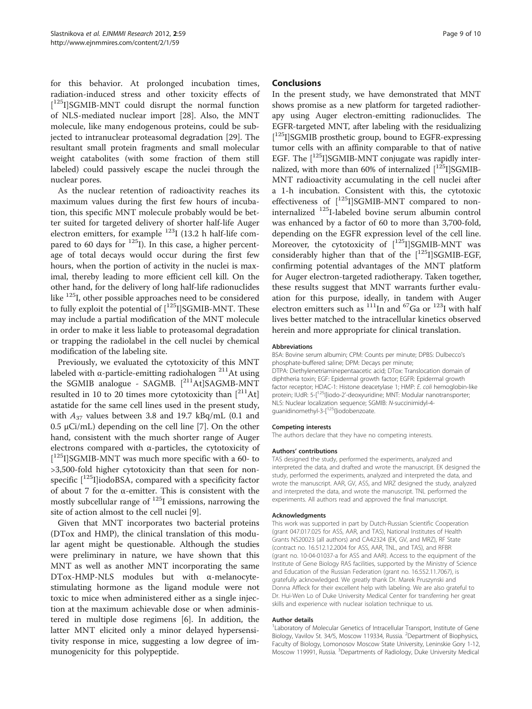for this behavior. At prolonged incubation times, radiation-induced stress and other toxicity effects of [<sup>125</sup>I]SGMIB-MNT could disrupt the normal function of NLS-mediated nuclear import [\[28](#page-9-0)]. Also, the MNT molecule, like many endogenous proteins, could be subjected to intranuclear proteasomal degradation [\[29\]](#page-9-0). The resultant small protein fragments and small molecular weight catabolites (with some fraction of them still labeled) could passively escape the nuclei through the nuclear pores.

As the nuclear retention of radioactivity reaches its maximum values during the first few hours of incubation, this specific MNT molecule probably would be better suited for targeted delivery of shorter half-life Auger electron emitters, for example  $^{123}$ I (13.2 h half-life compared to 60 days for  $^{125}$ I). In this case, a higher percentage of total decays would occur during the first few hours, when the portion of activity in the nuclei is maximal, thereby leading to more efficient cell kill. On the other hand, for the delivery of long half-life radionuclides like 125I, other possible approaches need to be considered to fully exploit the potential of  $[125]$ SGMIB-MNT. These may include a partial modification of the MNT molecule in order to make it less liable to proteasomal degradation or trapping the radiolabel in the cell nuclei by chemical modification of the labeling site.

Previously, we evaluated the cytotoxicity of this MNT labeled with α-particle-emitting radiohalogen  $^{211}$ At using the SGMIB analogue - SAGMB. [<sup>211</sup>At]SAGMB-MNT resulted in 10 to 20 times more cytotoxicity than  $[<sup>211</sup>At]$ astatide for the same cell lines used in the present study, with  $A_{37}$  values between 3.8 and 19.7 kBq/mL (0.1 and  $0.5 \mu$ Ci/mL) depending on the cell line [\[7](#page-9-0)]. On the other hand, consistent with the much shorter range of Auger electrons compared with α-particles, the cytotoxicity of [<sup>125</sup>I]SGMIB-MNT was much more specific with a 60- to >3,500-fold higher cytotoxicity than that seen for nonspecific  $[1^{25}$ I]iodoBSA, compared with a specificity factor of about 7 for the α-emitter. This is consistent with the mostly subcellular range of  $^{125}$ I emissions, narrowing the site of action almost to the cell nuclei [[9\]](#page-9-0).

Given that MNT incorporates two bacterial proteins (DTox and HMP), the clinical translation of this modular agent might be questionable. Although the studies were preliminary in nature, we have shown that this MNT as well as another MNT incorporating the same DTox-HMP-NLS modules but with α-melanocytestimulating hormone as the ligand module were not toxic to mice when administered either as a single injection at the maximum achievable dose or when administered in multiple dose regimens [\[6](#page-9-0)]. In addition, the latter MNT elicited only a minor delayed hypersensitivity response in mice, suggesting a low degree of immunogenicity for this polypeptide.

#### **Conclusions**

In the present study, we have demonstrated that MNT shows promise as a new platform for targeted radiotherapy using Auger electron-emitting radionuclides. The EGFR-targeted MNT, after labeling with the residualizing [<sup>125</sup>I]SGMIB prosthetic group, bound to EGFR-expressing tumor cells with an affinity comparable to that of native EGF. The  $\left[\right]^{125}$ ISGMIB-MNT conjugate was rapidly internalized, with more than 60% of internalized  $[1^{25}I]SGMIB-$ MNT radioactivity accumulating in the cell nuclei after a 1-h incubation. Consistent with this, the cytotoxic effectiveness of  $[$ <sup>125</sup>I]SGMIB-MNT compared to noninternalized 125I-labeled bovine serum albumin control was enhanced by a factor of 60 to more than 3,700-fold, depending on the EGFR expression level of the cell line. Moreover, the cytotoxicity of  $[$ <sup>125</sup>I]SGMIB-MNT was considerably higher than that of the  $[$ <sup>125</sup>I]SGMIB-EGF, confirming potential advantages of the MNT platform for Auger electron-targeted radiotherapy. Taken together, these results suggest that MNT warrants further evaluation for this purpose, ideally, in tandem with Auger electron emitters such as  $^{111}$ In and <sup>67</sup>Ga or  $^{123}$ I with half lives better matched to the intracellular kinetics observed herein and more appropriate for clinical translation.

#### Abbreviations

BSA: Bovine serum albumin; CPM: Counts per minute; DPBS: Dulbecco's phosphate-buffered saline; DPM: Decays per minute; DTPA: Diethylenetriaminepentaacetic acid; DTox: Translocation domain of diphtheria toxin; EGF: Epidermal growth factor; EGFR: Epidermal growth factor receptor; HDAC-1: Histone deacetylase 1; HMP: E. coli hemoglobin-like protein; IUdR: 5-[125I]iodo-2'-deoxyuridine; MNT: Modular nanotransporter; NLS: Nuclear localization sequence; SGMIB: N-succinimidyl-4 guanidinomethyl-3-[125I]iodobenzoate.

#### Competing interests

The authors declare that they have no competing interests.

#### Authors' contributions

TAS designed the study, performed the experiments, analyzed and interpreted the data, and drafted and wrote the manuscript. EK designed the study, performed the experiments, analyzed and interpreted the data, and wrote the manuscript. AAR, GV, ASS, and MRZ designed the study, analyzed and interpreted the data, and wrote the manuscript. TNL performed the experiments. All authors read and approved the final manuscript.

#### Acknowledgments

This work was supported in part by Dutch-Russian Scientific Cooperation (grant 047.017.025 for ASS, AAR, and TAS), National Institutes of Health Grants NS20023 (all authors) and CA42324 (EK, GV, and MRZ), RF State (contract no. 16.512.12.2004 for ASS, AAR, TNL, and TAS), and RFBR (grant no. 10-04-01037-а for ASS and AAR). Access to the equipment of the Institute of Gene Biology RAS facilities, supported by the Ministry of Science and Education of the Russian Federation (grant no. 16.552.11.7067), is gratefully acknowledged. We greatly thank Dr. Marek Pruszynski and Donna Affleck for their excellent help with labeling. We are also grateful to Dr. Hui-Wen Lo of Duke University Medical Center for transferring her great skills and experience with nuclear isolation technique to us.

#### Author details

<sup>1</sup> Laboratory of Molecular Genetics of Intracellular Transport, Institute of Gene Biology, Vavilov St. 34/5, Moscow 119334, Russia. <sup>2</sup>Department of Biophysics Faculty of Biology, Lomonosov Moscow State University, Leninskie Gory 1-12, Moscow 119991, Russia. <sup>3</sup>Departments of Radiology, Duke University Medical